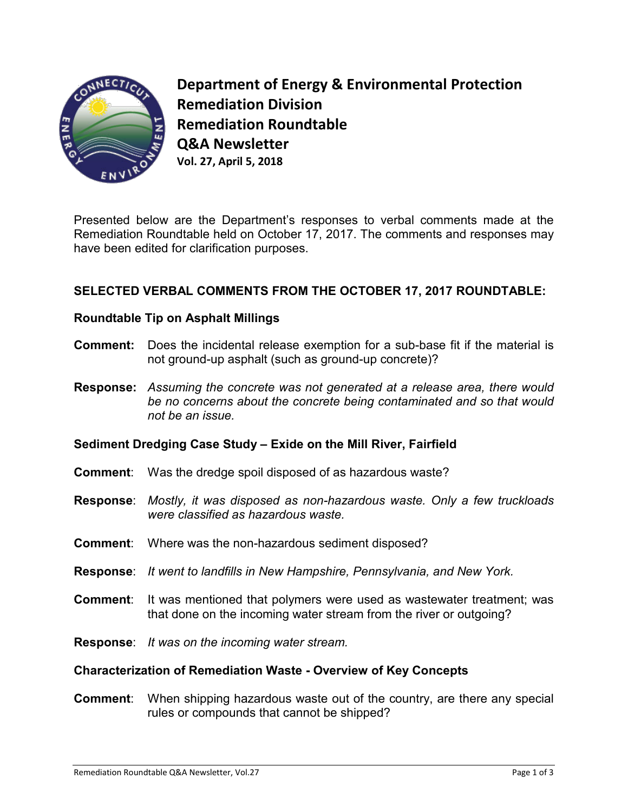

**Department of Energy & Environmental Protection Remediation Division Remediation Roundtable Q&A Newsletter Vol. 27, April 5, 2018** 

Presented below are the Department's responses to verbal comments made at the Remediation Roundtable held on October 17, 2017. The comments and responses may have been edited for clarification purposes.

# **SELECTED VERBAL COMMENTS FROM THE OCTOBER 17, 2017 ROUNDTABLE:**

### **Roundtable Tip on Asphalt Millings**

- **Comment:** Does the incidental release exemption for a sub-base fit if the material is not ground-up asphalt (such as ground-up concrete)?
- **Response:** *Assuming the concrete was not generated at a release area, there would be no concerns about the concrete being contaminated and so that would not be an issue.*

#### **Sediment Dredging Case Study – Exide on the Mill River, Fairfield**

- **Comment**: Was the dredge spoil disposed of as hazardous waste?
- **Response**: *Mostly, it was disposed as non-hazardous waste. Only a few truckloads were classified as hazardous waste.*
- **Comment**: Where was the non-hazardous sediment disposed?
- **Response**: *It went to landfills in New Hampshire, Pennsylvania, and New York.*
- **Comment**: It was mentioned that polymers were used as wastewater treatment; was that done on the incoming water stream from the river or outgoing?
- **Response**: *It was on the incoming water stream.*

#### **Characterization of Remediation Waste - Overview of Key Concepts**

**Comment**: When shipping hazardous waste out of the country, are there any special rules or compounds that cannot be shipped?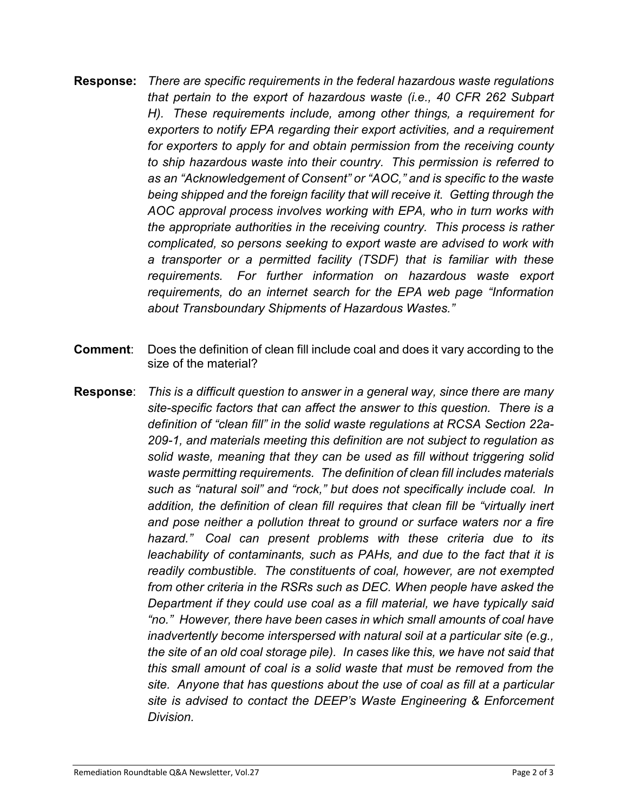- **Response:** *There are specific requirements in the federal hazardous waste regulations that pertain to the export of hazardous waste (i.e., 40 CFR 262 Subpart H). These requirements include, among other things, a requirement for exporters to notify EPA regarding their export activities, and a requirement for exporters to apply for and obtain permission from the receiving county to ship hazardous waste into their country. This permission is referred to as an "Acknowledgement of Consent" or "AOC," and is specific to the waste being shipped and the foreign facility that will receive it. Getting through the AOC approval process involves working with EPA, who in turn works with the appropriate authorities in the receiving country. This process is rather complicated, so persons seeking to export waste are advised to work with a transporter or a permitted facility (TSDF) that is familiar with these requirements. For further information on hazardous waste export requirements, do an internet search for the EPA web page "Information about Transboundary Shipments of Hazardous Wastes."*
- **Comment**: Does the definition of clean fill include coal and does it vary according to the size of the material?
- **Response**: *This is a difficult question to answer in a general way, since there are many site-specific factors that can affect the answer to this question. There is a definition of "clean fill" in the solid waste regulations at RCSA Section 22a-209-1, and materials meeting this definition are not subject to regulation as solid waste, meaning that they can be used as fill without triggering solid waste permitting requirements. The definition of clean fill includes materials such as "natural soil" and "rock," but does not specifically include coal. In addition, the definition of clean fill requires that clean fill be "virtually inert and pose neither a pollution threat to ground or surface waters nor a fire hazard." Coal can present problems with these criteria due to its leachability of contaminants, such as PAHs, and due to the fact that it is readily combustible. The constituents of coal, however, are not exempted from other criteria in the RSRs such as DEC. When people have asked the Department if they could use coal as a fill material, we have typically said "no." However, there have been cases in which small amounts of coal have inadvertently become interspersed with natural soil at a particular site (e.g., the site of an old coal storage pile). In cases like this, we have not said that this small amount of coal is a solid waste that must be removed from the site. Anyone that has questions about the use of coal as fill at a particular site is advised to contact the DEEP's Waste Engineering & Enforcement Division.*